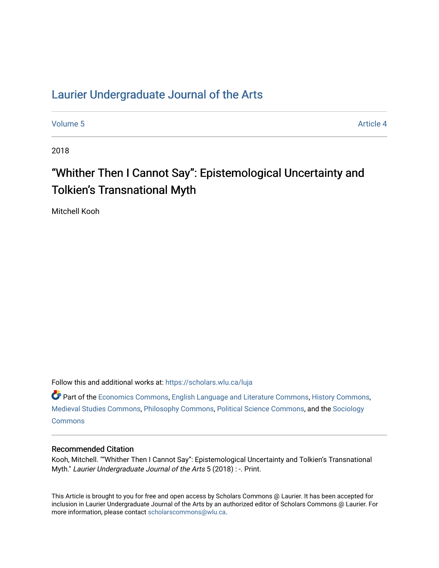# [Laurier Undergraduate Journal of the Arts](https://scholars.wlu.ca/luja)

[Volume 5](https://scholars.wlu.ca/luja/vol5) Article 4

2018

# "Whither Then I Cannot Say": Epistemological Uncertainty and Tolkien's Transnational Myth

Mitchell Kooh

Follow this and additional works at: [https://scholars.wlu.ca/luja](https://scholars.wlu.ca/luja?utm_source=scholars.wlu.ca%2Fluja%2Fvol5%2Fiss1%2F4&utm_medium=PDF&utm_campaign=PDFCoverPages) 

Part of the [Economics Commons](http://network.bepress.com/hgg/discipline/340?utm_source=scholars.wlu.ca%2Fluja%2Fvol5%2Fiss1%2F4&utm_medium=PDF&utm_campaign=PDFCoverPages), [English Language and Literature Commons,](http://network.bepress.com/hgg/discipline/455?utm_source=scholars.wlu.ca%2Fluja%2Fvol5%2Fiss1%2F4&utm_medium=PDF&utm_campaign=PDFCoverPages) [History Commons,](http://network.bepress.com/hgg/discipline/489?utm_source=scholars.wlu.ca%2Fluja%2Fvol5%2Fiss1%2F4&utm_medium=PDF&utm_campaign=PDFCoverPages) [Medieval Studies Commons](http://network.bepress.com/hgg/discipline/480?utm_source=scholars.wlu.ca%2Fluja%2Fvol5%2Fiss1%2F4&utm_medium=PDF&utm_campaign=PDFCoverPages), [Philosophy Commons](http://network.bepress.com/hgg/discipline/525?utm_source=scholars.wlu.ca%2Fluja%2Fvol5%2Fiss1%2F4&utm_medium=PDF&utm_campaign=PDFCoverPages), [Political Science Commons](http://network.bepress.com/hgg/discipline/386?utm_source=scholars.wlu.ca%2Fluja%2Fvol5%2Fiss1%2F4&utm_medium=PDF&utm_campaign=PDFCoverPages), and the [Sociology](http://network.bepress.com/hgg/discipline/416?utm_source=scholars.wlu.ca%2Fluja%2Fvol5%2Fiss1%2F4&utm_medium=PDF&utm_campaign=PDFCoverPages)  **[Commons](http://network.bepress.com/hgg/discipline/416?utm_source=scholars.wlu.ca%2Fluja%2Fvol5%2Fiss1%2F4&utm_medium=PDF&utm_campaign=PDFCoverPages)** 

#### Recommended Citation

Kooh, Mitchell. ""Whither Then I Cannot Say": Epistemological Uncertainty and Tolkien's Transnational Myth." Laurier Undergraduate Journal of the Arts 5 (2018) : -. Print.

This Article is brought to you for free and open access by Scholars Commons @ Laurier. It has been accepted for inclusion in Laurier Undergraduate Journal of the Arts by an authorized editor of Scholars Commons @ Laurier. For more information, please contact [scholarscommons@wlu.ca](mailto:scholarscommons@wlu.ca).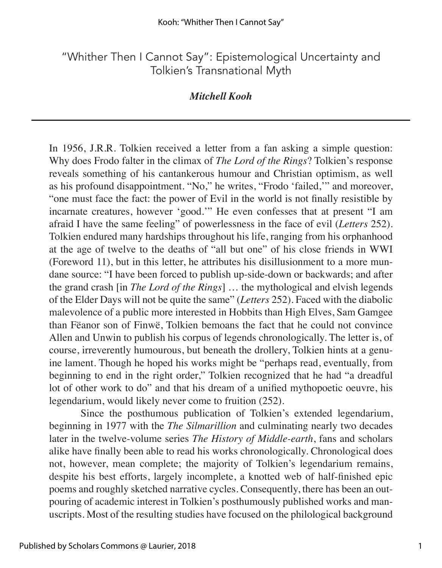"Whither Then I Cannot Say": Epistemological Uncertainty and Tolkien's Transnational Myth

### *Mitchell Kooh*

In 1956, J.R.R. Tolkien received a letter from a fan asking a simple question: Why does Frodo falter in the climax of *The Lord of the Rings*? Tolkien's response reveals something of his cantankerous humour and Christian optimism, as well as his profound disappointment. "No," he writes, "Frodo 'failed,'" and moreover, "one must face the fact: the power of Evil in the world is not finally resistible by incarnate creatures, however 'good.'" He even confesses that at present "I am afraid I have the same feeling" of powerlessness in the face of evil (*Letters* 252). Tolkien endured many hardships throughout his life, ranging from his orphanhood at the age of twelve to the deaths of "all but one" of his close friends in WWI (Foreword 11), but in this letter, he attributes his disillusionment to a more mundane source: "I have been forced to publish up-side-down or backwards; and after the grand crash [in *The Lord of the Rings*] … the mythological and elvish legends of the Elder Days will not be quite the same" (*Letters* 252). Faced with the diabolic malevolence of a public more interested in Hobbits than High Elves, Sam Gamgee than Fëanor son of Finwë, Tolkien bemoans the fact that he could not convince Allen and Unwin to publish his corpus of legends chronologically. The letter is, of course, irreverently humourous, but beneath the drollery, Tolkien hints at a genuine lament. Though he hoped his works might be "perhaps read, eventually, from beginning to end in the right order," Tolkien recognized that he had "a dreadful lot of other work to do" and that his dream of a unified mythopoetic oeuvre, his legendarium, would likely never come to fruition (252).

Since the posthumous publication of Tolkien's extended legendarium, beginning in 1977 with the *The Silmarillion* and culminating nearly two decades later in the twelve-volume series *The History of Middle-earth*, fans and scholars alike have finally been able to read his works chronologically. Chronological does not, however, mean complete; the majority of Tolkien's legendarium remains, despite his best efforts, largely incomplete, a knotted web of half-finished epic poems and roughly sketched narrative cycles. Consequently, there has been an outpouring of academic interest in Tolkien's posthumously published works and manuscripts. Most of the resulting studies have focused on the philological background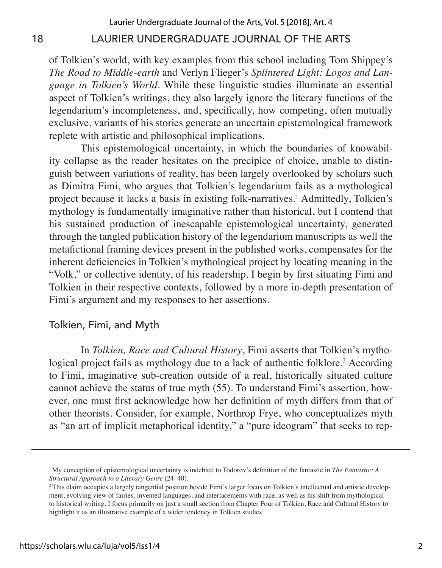of Tolkien's world, with key examples from this school including Tom Shippey's *The Road to Middle-earth* and Verlyn Flieger's *Splintered Light: Logos and Language in Tolkien's World*. While these linguistic studies illuminate an essential aspect of Tolkien's writings, they also largely ignore the literary functions of the legendarium's incompleteness, and, specifically, how competing, often mutually exclusive, variants of his stories generate an uncertain epistemological framework replete with artistic and philosophical implications.

This epistemological uncertainty, in which the boundaries of knowability collapse as the reader hesitates on the precipice of choice, unable to distinguish between variations of reality, has been largely overlooked by scholars such as Dimitra Fimi, who argues that Tolkien's legendarium fails as a mythological project because it lacks a basis in existing folk-narratives.<sup>1</sup> Admittedly, Tolkien's mythology is fundamentally imaginative rather than historical, but I contend that his sustained production of inescapable epistemological uncertainty, generated through the tangled publication history of the legendarium manuscripts as well the metafictional framing devices present in the published works, compensates for the inherent deficiencies in Tolkien's mythological project by locating meaning in the "Volk," or collective identity, of his readership. I begin by first situating Fimi and Tolkien in their respective contexts, followed by a more in-depth presentation of Fimi's argument and my responses to her assertions.

#### Tolkien, Fimi, and Myth

In *Tolkien, Race and Cultural History*, Fimi asserts that Tolkien's mythological project fails as mythology due to a lack of authentic folklore.<sup>2</sup> According to Fimi, imaginative sub-creation outside of a real, historically situated culture cannot achieve the status of true myth (55). To understand Fimi's assertion, however, one must first acknowledge how her definition of myth differs from that of other theorists. Consider, for example, Northrop Frye, who conceptualizes myth as "an art of implicit metaphorical identity," a "pure ideogram" that seeks to rep-

<sup>1</sup>My conception of epistemological uncertainty is indebted to Todorov's definition of the fantastic in *The Fantastic: A Structural Approach to a Literary Genre* (24–40).

<sup>2</sup> This claim occupies a largely tangential position beside Fimi's larger focus on Tolkien's intellectual and artistic development, evolving view of fairies, invented languages, and interlacements with race, as well as his shift from mythological to historical writing. I focus primarily on just a small section from Chapter Four of Tolkien, Race and Cultural History to highlight it as an illustrative example of a wider tendency in Tolkien studies.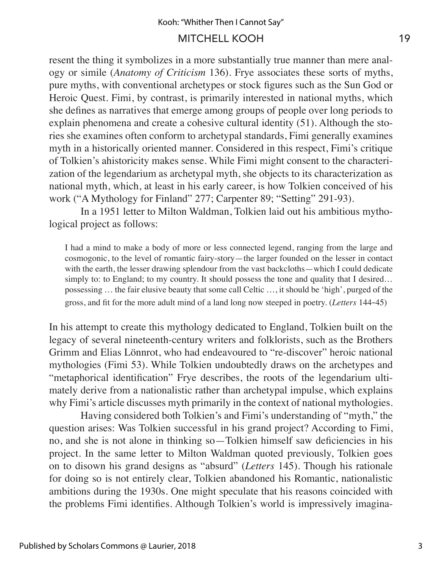resent the thing it symbolizes in a more substantially true manner than mere analogy or simile (*Anatomy of Criticism* 136). Frye associates these sorts of myths, pure myths, with conventional archetypes or stock figures such as the Sun God or Heroic Quest. Fimi, by contrast, is primarily interested in national myths, which she defines as narratives that emerge among groups of people over long periods to explain phenomena and create a cohesive cultural identity (51). Although the stories she examines often conform to archetypal standards, Fimi generally examines myth in a historically oriented manner. Considered in this respect, Fimi's critique of Tolkien's ahistoricity makes sense. While Fimi might consent to the characterization of the legendarium as archetypal myth, she objects to its characterization as national myth, which, at least in his early career, is how Tolkien conceived of his work ("A Mythology for Finland" 277; Carpenter 89; "Setting" 291-93).

In a 1951 letter to Milton Waldman, Tolkien laid out his ambitious mythological project as follows:

I had a mind to make a body of more or less connected legend, ranging from the large and cosmogonic, to the level of romantic fairy-story—the larger founded on the lesser in contact with the earth, the lesser drawing splendour from the vast backcloths—which I could dedicate simply to: to England; to my country. It should possess the tone and quality that I desired... possessing … the fair elusive beauty that some call Celtic …, it should be 'high', purged of the gross, and fit for the more adult mind of a land long now steeped in poetry. (*Letters* 144-45)

In his attempt to create this mythology dedicated to England, Tolkien built on the legacy of several nineteenth-century writers and folklorists, such as the Brothers Grimm and Elias Lönnrot, who had endeavoured to "re-discover" heroic national mythologies (Fimi 53). While Tolkien undoubtedly draws on the archetypes and "metaphorical identification" Frye describes, the roots of the legendarium ultimately derive from a nationalistic rather than archetypal impulse, which explains why Fimi's article discusses myth primarily in the context of national mythologies.

Having considered both Tolkien's and Fimi's understanding of "myth," the question arises: Was Tolkien successful in his grand project? According to Fimi, no, and she is not alone in thinking so—Tolkien himself saw deficiencies in his project. In the same letter to Milton Waldman quoted previously, Tolkien goes on to disown his grand designs as "absurd" (*Letters* 145). Though his rationale for doing so is not entirely clear, Tolkien abandoned his Romantic, nationalistic ambitions during the 1930s. One might speculate that his reasons coincided with the problems Fimi identifies. Although Tolkien's world is impressively imagina-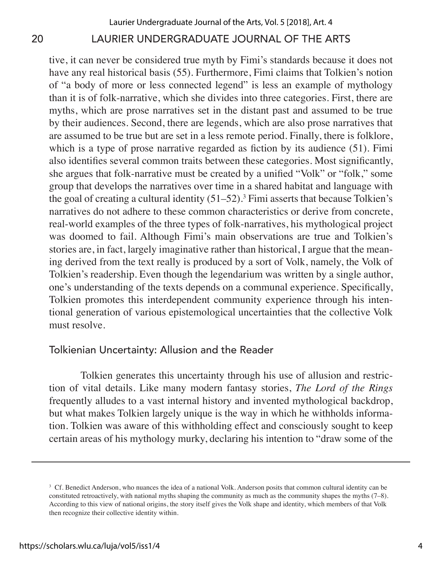tive, it can never be considered true myth by Fimi's standards because it does not have any real historical basis (55). Furthermore, Fimi claims that Tolkien's notion of "a body of more or less connected legend" is less an example of mythology than it is of folk-narrative, which she divides into three categories. First, there are myths, which are prose narratives set in the distant past and assumed to be true by their audiences. Second, there are legends, which are also prose narratives that are assumed to be true but are set in a less remote period. Finally, there is folklore, which is a type of prose narrative regarded as fiction by its audience (51). Fimi also identifies several common traits between these categories. Most significantly, she argues that folk-narrative must be created by a unified "Volk" or "folk," some group that develops the narratives over time in a shared habitat and language with the goal of creating a cultural identity  $(51-52)$ .<sup>3</sup> Fimi asserts that because Tolkien's narratives do not adhere to these common characteristics or derive from concrete, real-world examples of the three types of folk-narratives, his mythological project was doomed to fail. Although Fimi's main observations are true and Tolkien's stories are, in fact, largely imaginative rather than historical, I argue that the meaning derived from the text really is produced by a sort of Volk, namely, the Volk of Tolkien's readership. Even though the legendarium was written by a single author, one's understanding of the texts depends on a communal experience. Specifically, Tolkien promotes this interdependent community experience through his intentional generation of various epistemological uncertainties that the collective Volk must resolve.

#### Tolkienian Uncertainty: Allusion and the Reader

Tolkien generates this uncertainty through his use of allusion and restriction of vital details. Like many modern fantasy stories, *The Lord of the Rings*  frequently alludes to a vast internal history and invented mythological backdrop, but what makes Tolkien largely unique is the way in which he withholds information. Tolkien was aware of this withholding effect and consciously sought to keep certain areas of his mythology murky, declaring his intention to "draw some of the

<sup>&</sup>lt;sup>3</sup> Cf. Benedict Anderson, who nuances the idea of a national Volk. Anderson posits that common cultural identity can be constituted retroactively, with national myths shaping the community as much as the community shapes the myths (7–8). According to this view of national origins, the story itself gives the Volk shape and identity, which members of that Volk then recognize their collective identity within.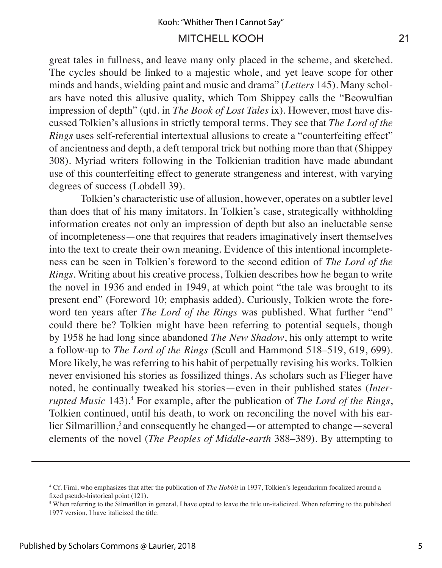great tales in fullness, and leave many only placed in the scheme, and sketched. The cycles should be linked to a majestic whole, and yet leave scope for other minds and hands, wielding paint and music and drama" (*Letters* 145). Many scholars have noted this allusive quality, which Tom Shippey calls the "Beowulfian impression of depth" (qtd. in *The Book of Lost Tales* ix). However, most have discussed Tolkien's allusions in strictly temporal terms. They see that *The Lord of the Rings* uses self-referential intertextual allusions to create a "counterfeiting effect" of ancientness and depth, a deft temporal trick but nothing more than that (Shippey 308). Myriad writers following in the Tolkienian tradition have made abundant use of this counterfeiting effect to generate strangeness and interest, with varying degrees of success (Lobdell 39).

Tolkien's characteristic use of allusion, however, operates on a subtler level than does that of his many imitators. In Tolkien's case, strategically withholding information creates not only an impression of depth but also an ineluctable sense of incompleteness—one that requires that readers imaginatively insert themselves into the text to create their own meaning. Evidence of this intentional incompleteness can be seen in Tolkien's foreword to the second edition of *The Lord of the Rings*. Writing about his creative process, Tolkien describes how he began to write the novel in 1936 and ended in 1949, at which point "the tale was brought to its present end" (Foreword 10; emphasis added). Curiously, Tolkien wrote the foreword ten years after *The Lord of the Rings* was published. What further "end" could there be? Tolkien might have been referring to potential sequels, though by 1958 he had long since abandoned *The New Shadow*, his only attempt to write a follow-up to *The Lord of the Rings* (Scull and Hammond 518–519, 619, 699). More likely, he was referring to his habit of perpetually revising his works. Tolkien never envisioned his stories as fossilized things. As scholars such as Flieger have noted, he continually tweaked his stories—even in their published states (*Interrupted Music* 143).4 For example, after the publication of *The Lord of the Rings*, Tolkien continued, until his death, to work on reconciling the novel with his earlier Silmarillion,<sup>5</sup> and consequently he changed—or attempted to change—several elements of the novel (*The Peoples of Middle-earth* 388–389). By attempting to

<sup>4</sup>Cf. Fimi, who emphasizes that after the publication of *The Hobbit* in 1937, Tolkien's legendarium focalized around a fixed pseudo-historical point (121).

<sup>&</sup>lt;sup>5</sup> When referring to the Silmarillon in general, I have opted to leave the title un-italicized. When referring to the published 1977 version, I have italicized the title.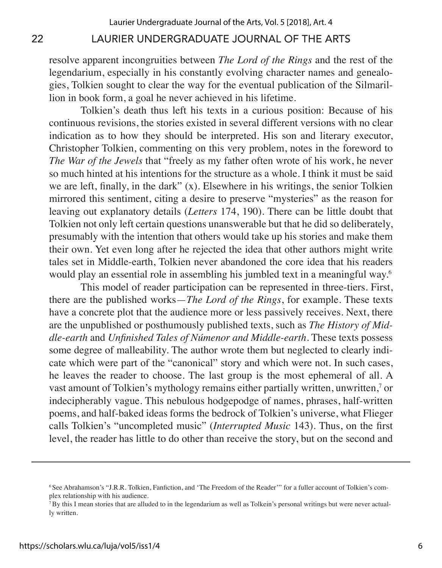resolve apparent incongruities between *The Lord of the Rings* and the rest of the legendarium, especially in his constantly evolving character names and genealogies, Tolkien sought to clear the way for the eventual publication of the Silmarillion in book form, a goal he never achieved in his lifetime.

Tolkien's death thus left his texts in a curious position: Because of his continuous revisions, the stories existed in several different versions with no clear indication as to how they should be interpreted. His son and literary executor, Christopher Tolkien, commenting on this very problem, notes in the foreword to *The War of the Jewels* that "freely as my father often wrote of his work, he never so much hinted at his intentions for the structure as a whole. I think it must be said we are left, finally, in the dark" (x). Elsewhere in his writings, the senior Tolkien mirrored this sentiment, citing a desire to preserve "mysteries" as the reason for leaving out explanatory details (*Letters* 174, 190). There can be little doubt that Tolkien not only left certain questions unanswerable but that he did so deliberately, presumably with the intention that others would take up his stories and make them their own. Yet even long after he rejected the idea that other authors might write tales set in Middle-earth, Tolkien never abandoned the core idea that his readers would play an essential role in assembling his jumbled text in a meaningful way.<sup>6</sup>

This model of reader participation can be represented in three-tiers. First, there are the published works—*The Lord of the Rings*, for example. These texts have a concrete plot that the audience more or less passively receives. Next, there are the unpublished or posthumously published texts, such as *The History of Middle-earth* and *Unfinished Tales of Númenor and Middle-earth*. These texts possess some degree of malleability. The author wrote them but neglected to clearly indicate which were part of the "canonical" story and which were not. In such cases, he leaves the reader to choose. The last group is the most ephemeral of all. A vast amount of Tolkien's mythology remains either partially written, unwritten,<sup>7</sup> or indecipherably vague. This nebulous hodgepodge of names, phrases, half-written poems, and half-baked ideas forms the bedrock of Tolkien's universe, what Flieger calls Tolkien's "uncompleted music" (*Interrupted Music* 143). Thus, on the first level, the reader has little to do other than receive the story, but on the second and

<sup>6</sup> See Abrahamson's "J.R.R. Tolkien, Fanfiction, and 'The Freedom of the Reader'" for a fuller account of Tolkien's complex relationship with his audience.

<sup>7</sup> By this I mean stories that are alluded to in the legendarium as well as Tolkein's personal writings but were never actually written.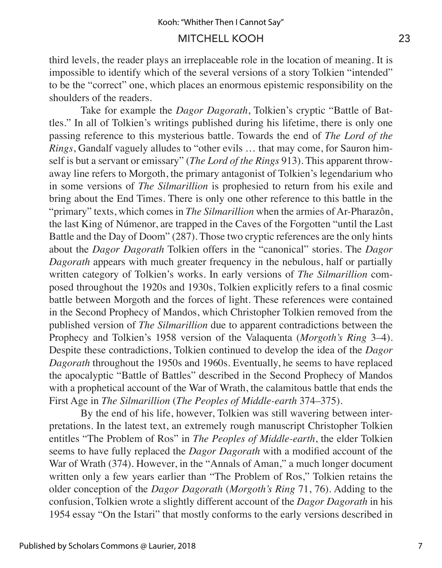third levels, the reader plays an irreplaceable role in the location of meaning. It is impossible to identify which of the several versions of a story Tolkien "intended" to be the "correct" one, which places an enormous epistemic responsibility on the shoulders of the readers.

Take for example the *Dagor Dagorath*, Tolkien's cryptic "Battle of Battles." In all of Tolkien's writings published during his lifetime, there is only one passing reference to this mysterious battle. Towards the end of *The Lord of the Rings*, Gandalf vaguely alludes to "other evils … that may come, for Sauron himself is but a servant or emissary" (*The Lord of the Rings* 913). This apparent throwaway line refers to Morgoth, the primary antagonist of Tolkien's legendarium who in some versions of *The Silmarillion* is prophesied to return from his exile and bring about the End Times. There is only one other reference to this battle in the "primary" texts, which comes in *The Silmarillion* when the armies of Ar-Pharazôn, the last King of Númenor, are trapped in the Caves of the Forgotten "until the Last Battle and the Day of Doom" (287). Those two cryptic references are the only hints about the *Dagor Dagorath* Tolkien offers in the "canonical" stories. The *Dagor Dagorath* appears with much greater frequency in the nebulous, half or partially written category of Tolkien's works. In early versions of *The Silmarillion* composed throughout the 1920s and 1930s, Tolkien explicitly refers to a final cosmic battle between Morgoth and the forces of light. These references were contained in the Second Prophecy of Mandos, which Christopher Tolkien removed from the published version of *The Silmarillion* due to apparent contradictions between the Prophecy and Tolkien's 1958 version of the Valaquenta (*Morgoth's Ring* 3–4). Despite these contradictions, Tolkien continued to develop the idea of the *Dagor Dagorath* throughout the 1950s and 1960s. Eventually, he seems to have replaced the apocalyptic "Battle of Battles" described in the Second Prophecy of Mandos with a prophetical account of the War of Wrath, the calamitous battle that ends the First Age in *The Silmarillion* (*The Peoples of Middle-earth* 374–375).

By the end of his life, however, Tolkien was still wavering between interpretations. In the latest text, an extremely rough manuscript Christopher Tolkien entitles "The Problem of Ros" in *The Peoples of Middle-earth*, the elder Tolkien seems to have fully replaced the *Dagor Dagorath* with a modified account of the War of Wrath (374). However, in the "Annals of Aman," a much longer document written only a few years earlier than "The Problem of Ros," Tolkien retains the older conception of the *Dagor Dagorath* (*Morgoth's Ring* 71, 76). Adding to the confusion, Tolkien wrote a slightly different account of the *Dagor Dagorath* in his 1954 essay "On the Istari" that mostly conforms to the early versions described in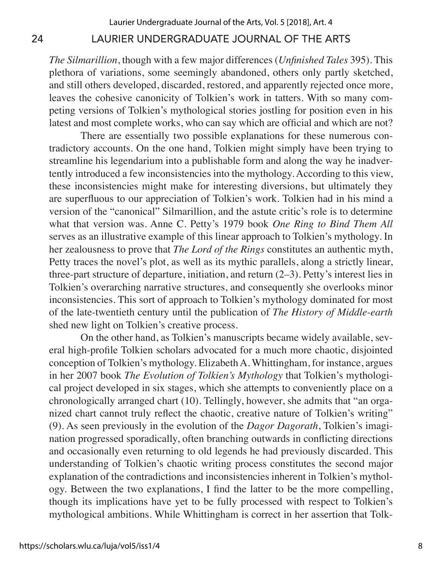*The Silmarillion*, though with a few major differences (*Unfinished Tales* 395). This plethora of variations, some seemingly abandoned, others only partly sketched, and still others developed, discarded, restored, and apparently rejected once more, leaves the cohesive canonicity of Tolkien's work in tatters. With so many competing versions of Tolkien's mythological stories jostling for position even in his latest and most complete works, who can say which are official and which are not?

There are essentially two possible explanations for these numerous contradictory accounts. On the one hand, Tolkien might simply have been trying to streamline his legendarium into a publishable form and along the way he inadvertently introduced a few inconsistencies into the mythology. According to this view, these inconsistencies might make for interesting diversions, but ultimately they are superfluous to our appreciation of Tolkien's work. Tolkien had in his mind a version of the "canonical" Silmarillion, and the astute critic's role is to determine what that version was. Anne C. Petty's 1979 book *One Ring to Bind Them All*  serves as an illustrative example of this linear approach to Tolkien's mythology. In her zealousness to prove that *The Lord of the Rings* constitutes an authentic myth, Petty traces the novel's plot, as well as its mythic parallels, along a strictly linear, three-part structure of departure, initiation, and return (2–3). Petty's interest lies in Tolkien's overarching narrative structures, and consequently she overlooks minor inconsistencies. This sort of approach to Tolkien's mythology dominated for most of the late-twentieth century until the publication of *The History of Middle-earth*  shed new light on Tolkien's creative process.

On the other hand, as Tolkien's manuscripts became widely available, several high-profile Tolkien scholars advocated for a much more chaotic, disjointed conception of Tolkien's mythology. Elizabeth A. Whittingham, for instance, argues in her 2007 book *The Evolution of Tolkien's Mythology* that Tolkien's mythological project developed in six stages, which she attempts to conveniently place on a chronologically arranged chart (10). Tellingly, however, she admits that "an organized chart cannot truly reflect the chaotic, creative nature of Tolkien's writing" (9). As seen previously in the evolution of the *Dagor Dagorath*, Tolkien's imagination progressed sporadically, often branching outwards in conflicting directions and occasionally even returning to old legends he had previously discarded. This understanding of Tolkien's chaotic writing process constitutes the second major explanation of the contradictions and inconsistencies inherent in Tolkien's mythology. Between the two explanations, I find the latter to be the more compelling, though its implications have yet to be fully processed with respect to Tolkien's mythological ambitions. While Whittingham is correct in her assertion that Tolk-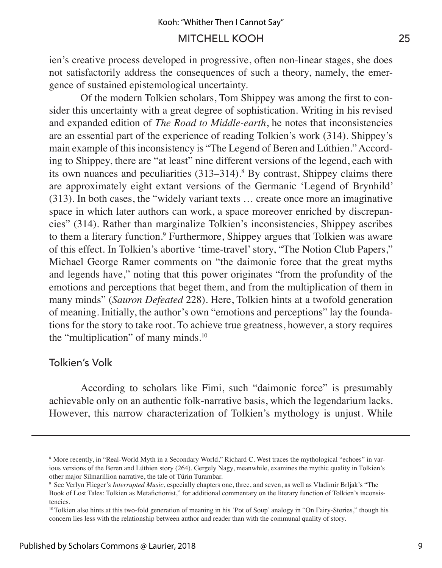ien's creative process developed in progressive, often non-linear stages, she does not satisfactorily address the consequences of such a theory, namely, the emergence of sustained epistemological uncertainty.

Of the modern Tolkien scholars, Tom Shippey was among the first to consider this uncertainty with a great degree of sophistication. Writing in his revised and expanded edition of *The Road to Middle-earth*, he notes that inconsistencies are an essential part of the experience of reading Tolkien's work (314). Shippey's main example of this inconsistency is "The Legend of Beren and Lúthien." According to Shippey, there are "at least" nine different versions of the legend, each with its own nuances and peculiarities  $(313-314)$ .<sup>8</sup> By contrast, Shippey claims there are approximately eight extant versions of the Germanic 'Legend of Brynhild' (313). In both cases, the "widely variant texts … create once more an imaginative space in which later authors can work, a space moreover enriched by discrepancies" (314). Rather than marginalize Tolkien's inconsistencies, Shippey ascribes to them a literary function.<sup>9</sup> Furthermore, Shippey argues that Tolkien was aware of this effect. In Tolkien's abortive 'time-travel' story, "The Notion Club Papers," Michael George Ramer comments on "the daimonic force that the great myths and legends have," noting that this power originates "from the profundity of the emotions and perceptions that beget them, and from the multiplication of them in many minds" (*Sauron Defeated* 228). Here, Tolkien hints at a twofold generation of meaning. Initially, the author's own "emotions and perceptions" lay the foundations for the story to take root. To achieve true greatness, however, a story requires the "multiplication" of many minds.<sup>10</sup>

#### Tolkien's Volk

According to scholars like Fimi, such "daimonic force" is presumably achievable only on an authentic folk-narrative basis, which the legendarium lacks. However, this narrow characterization of Tolkien's mythology is unjust. While

<sup>&</sup>lt;sup>8</sup> More recently, in "Real-World Myth in a Secondary World," Richard C. West traces the mythological "echoes" in various versions of the Beren and Lúthien story (264). Gergely Nagy, meanwhile, examines the mythic quality in Tolkien's other major Silmarillion narrative, the tale of Túrin Turambar.

<sup>9</sup>See Verlyn Flieger's *Interrupted Music*, especially chapters one, three, and seven, as well as Vladimir Brljak's "The Book of Lost Tales: Tolkien as Metafictionist," for additional commentary on the literary function of Tolkien's inconsistencies.

<sup>&</sup>lt;sup>10</sup>Tolkien also hints at this two-fold generation of meaning in his 'Pot of Soup' analogy in "On Fairy-Stories," though his concern lies less with the relationship between author and reader than with the communal quality of story.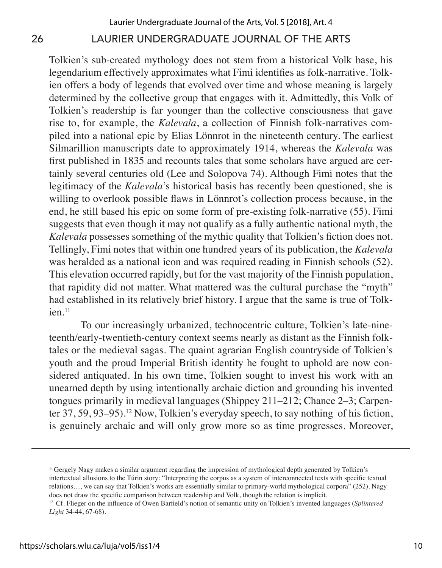Tolkien's sub-created mythology does not stem from a historical Volk base, his legendarium effectively approximates what Fimi identifies as folk-narrative. Tolkien offers a body of legends that evolved over time and whose meaning is largely determined by the collective group that engages with it. Admittedly, this Volk of Tolkien's readership is far younger than the collective consciousness that gave rise to, for example, the *Kalevala*, a collection of Finnish folk-narratives compiled into a national epic by Elias Lönnrot in the nineteenth century. The earliest Silmarillion manuscripts date to approximately 1914, whereas the *Kalevala* was first published in 1835 and recounts tales that some scholars have argued are certainly several centuries old (Lee and Solopova 74). Although Fimi notes that the legitimacy of the *Kalevala*'s historical basis has recently been questioned, she is willing to overlook possible flaws in Lönnrot's collection process because, in the end, he still based his epic on some form of pre-existing folk-narrative (55). Fimi suggests that even though it may not qualify as a fully authentic national myth, the *Kalevala* possesses something of the mythic quality that Tolkien's fiction does not. Tellingly, Fimi notes that within one hundred years of its publication, the *Kalevala* was heralded as a national icon and was required reading in Finnish schools (52). This elevation occurred rapidly, but for the vast majority of the Finnish population, that rapidity did not matter. What mattered was the cultural purchase the "myth" had established in its relatively brief history. I argue that the same is true of Tolkien.11

To our increasingly urbanized, technocentric culture, Tolkien's late-nineteenth/early-twentieth-century context seems nearly as distant as the Finnish folktales or the medieval sagas. The quaint agrarian English countryside of Tolkien's youth and the proud Imperial British identity he fought to uphold are now considered antiquated. In his own time, Tolkien sought to invest his work with an unearned depth by using intentionally archaic diction and grounding his invented tongues primarily in medieval languages (Shippey 211–212; Chance 2–3; Carpenter 37, 59, 93–95).<sup>12</sup> Now, Tolkien's everyday speech, to say nothing of his fiction, is genuinely archaic and will only grow more so as time progresses. Moreover,

<sup>11</sup>Gergely Nagy makes a similar argument regarding the impression of mythological depth generated by Tolkien's intertextual allusions to the Túrin story: "Interpreting the corpus as a system of interconnected texts with specific textual relations…, we can say that Tolkien's works are essentially similar to primary-world mythological corpora" (252). Nagy does not draw the specific comparison between readership and Volk, though the relation is implicit.

<sup>&</sup>lt;sup>12</sup> Cf. Flieger on the influence of Owen Barfield's notion of semantic unity on Tolkien's invented languages (*Splintered Light* 34-44, 67-68).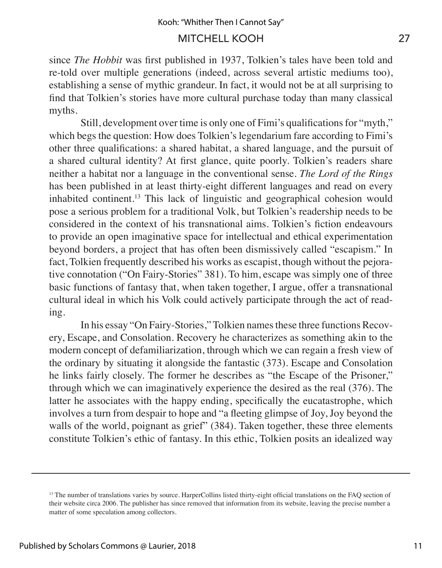since *The Hobbit* was first published in 1937, Tolkien's tales have been told and re-told over multiple generations (indeed, across several artistic mediums too), establishing a sense of mythic grandeur. In fact, it would not be at all surprising to find that Tolkien's stories have more cultural purchase today than many classical myths.

Still, development over time is only one of Fimi's qualifications for "myth," which begs the question: How does Tolkien's legendarium fare according to Fimi's other three qualifications: a shared habitat, a shared language, and the pursuit of a shared cultural identity? At first glance, quite poorly. Tolkien's readers share neither a habitat nor a language in the conventional sense. *The Lord of the Rings*  has been published in at least thirty-eight different languages and read on every inhabited continent.13 This lack of linguistic and geographical cohesion would pose a serious problem for a traditional Volk, but Tolkien's readership needs to be considered in the context of his transnational aims. Tolkien's fiction endeavours to provide an open imaginative space for intellectual and ethical experimentation beyond borders, a project that has often been dismissively called "escapism." In fact, Tolkien frequently described his works as escapist, though without the pejorative connotation ("On Fairy-Stories" 381). To him, escape was simply one of three basic functions of fantasy that, when taken together, I argue, offer a transnational cultural ideal in which his Volk could actively participate through the act of reading.

In his essay "On Fairy-Stories," Tolkien names these three functions Recovery, Escape, and Consolation. Recovery he characterizes as something akin to the modern concept of defamiliarization, through which we can regain a fresh view of the ordinary by situating it alongside the fantastic (373). Escape and Consolation he links fairly closely. The former he describes as "the Escape of the Prisoner," through which we can imaginatively experience the desired as the real (376). The latter he associates with the happy ending, specifically the eucatastrophe, which involves a turn from despair to hope and "a fleeting glimpse of Joy, Joy beyond the walls of the world, poignant as grief" (384). Taken together, these three elements constitute Tolkien's ethic of fantasy. In this ethic, Tolkien posits an idealized way

<sup>&</sup>lt;sup>13</sup> The number of translations varies by source. HarperCollins listed thirty-eight official translations on the FAQ section of their website circa 2006. The publisher has since removed that information from its website, leaving the precise number a matter of some speculation among collectors.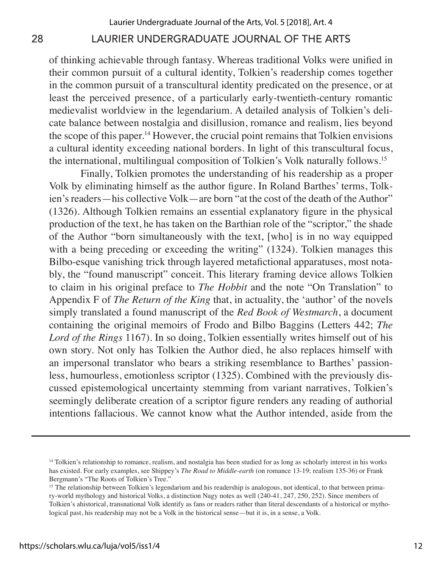of thinking achievable through fantasy. Whereas traditional Volks were unified in their common pursuit of a cultural identity, Tolkien's readership comes together in the common pursuit of a transcultural identity predicated on the presence, or at least the perceived presence, of a particularly early-twentieth-century romantic medievalist worldview in the legendarium. A detailed analysis of Tolkien's delicate balance between nostalgia and disillusion, romance and realism, lies beyond the scope of this paper.<sup>14</sup> However, the crucial point remains that Tolkien envisions a cultural identity exceeding national borders. In light of this transcultural focus, the international, multilingual composition of Tolkien's Volk naturally follows.15

Finally, Tolkien promotes the understanding of his readership as a proper Volk by eliminating himself as the author figure. In Roland Barthes' terms, Tolkien's readers—his collective Volk—are born "at the cost of the death of the Author" (1326). Although Tolkien remains an essential explanatory figure in the physical production of the text, he has taken on the Barthian role of the "scriptor," the shade of the Author "born simultaneously with the text, [who] is in no way equipped with a being preceding or exceeding the writing" (1324). Tolkien manages this Bilbo-esque vanishing trick through layered metafictional apparatuses, most notably, the "found manuscript" conceit. This literary framing device allows Tolkien to claim in his original preface to *The Hobbit* and the note "On Translation" to Appendix F of *The Return of the King* that, in actuality, the 'author' of the novels simply translated a found manuscript of the *Red Book of Westmarch*, a document containing the original memoirs of Frodo and Bilbo Baggins (Letters 442; *The Lord of the Rings* 1167). In so doing, Tolkien essentially writes himself out of his own story. Not only has Tolkien the Author died, he also replaces himself with an impersonal translator who bears a striking resemblance to Barthes' passionless, humourless, emotionless scriptor (1325). Combined with the previously discussed epistemological uncertainty stemming from variant narratives, Tolkien's seemingly deliberate creation of a scriptor figure renders any reading of authorial intentions fallacious. We cannot know what the Author intended, aside from the

<sup>&</sup>lt;sup>14</sup> Tolkien's relationship to romance, realism, and nostalgia has been studied for as long as scholarly interest in his works has existed. For early examples, see Shippey's *The Road to Middle-earth* (on romance 13-19; realism 135-36) or Frank Bergmann's "The Roots of Tolkien's Tree."

<sup>&</sup>lt;sup>15</sup> The relationship between Tolkien's legendarium and his readership is analogous, not identical, to that between primary-world mythology and historical Volks, a distinction Nagy notes as well (240-41, 247, 250, 252). Since members of Tolkien's ahistorical, transnational Volk identify as fans or readers rather than literal descendants of a historical or mythological past, his readership may not be a Volk in the historical sense—but it is, in a sense, a Volk.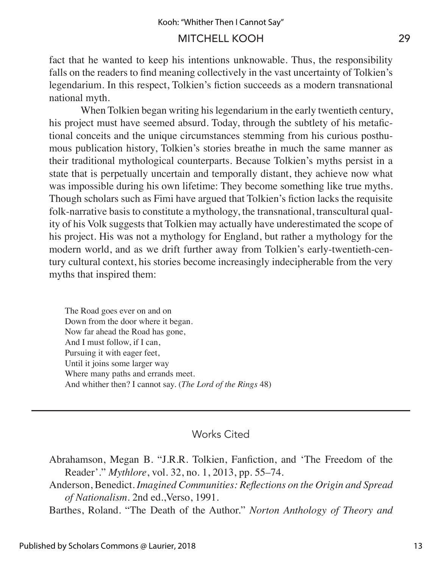fact that he wanted to keep his intentions unknowable. Thus, the responsibility falls on the readers to find meaning collectively in the vast uncertainty of Tolkien's legendarium. In this respect, Tolkien's fiction succeeds as a modern transnational national myth.

When Tolkien began writing his legendarium in the early twentieth century, his project must have seemed absurd. Today, through the subtlety of his metafictional conceits and the unique circumstances stemming from his curious posthumous publication history, Tolkien's stories breathe in much the same manner as their traditional mythological counterparts. Because Tolkien's myths persist in a state that is perpetually uncertain and temporally distant, they achieve now what was impossible during his own lifetime: They become something like true myths. Though scholars such as Fimi have argued that Tolkien's fiction lacks the requisite folk-narrative basis to constitute a mythology, the transnational, transcultural quality of his Volk suggests that Tolkien may actually have underestimated the scope of his project. His was not a mythology for England, but rather a mythology for the modern world, and as we drift further away from Tolkien's early-twentieth-century cultural context, his stories become increasingly indecipherable from the very myths that inspired them:

The Road goes ever on and on Down from the door where it began. Now far ahead the Road has gone, And I must follow, if I can, Pursuing it with eager feet, Until it joins some larger way Where many paths and errands meet. And whither then? I cannot say. (*The Lord of the Rings* 48)

### Works Cited

Abrahamson, Megan B. "J.R.R. Tolkien, Fanfiction, and 'The Freedom of the Reader'." *Mythlore*, vol. 32, no. 1, 2013, pp. 55–74.

Anderson, Benedict. *Imagined Communities: Reflections on the Origin and Spread of Nationalism*. 2nd ed.,Verso, 1991.

Barthes, Roland. "The Death of the Author." *Norton Anthology of Theory and*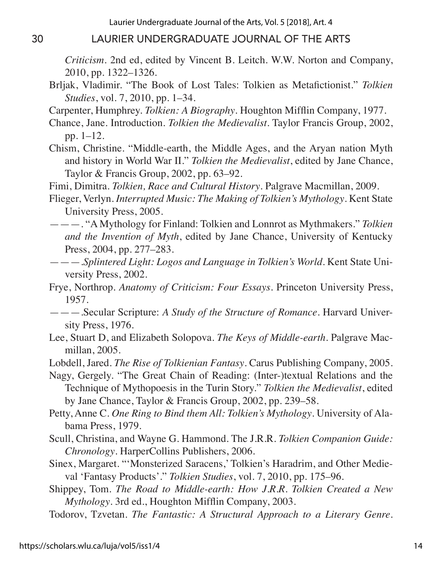*Criticism*. 2nd ed, edited by Vincent B. Leitch. W.W. Norton and Company, 2010, pp. 1322–1326.

- Brljak, Vladimir. "The Book of Lost Tales: Tolkien as Metafictionist." *Tolkien Studies*, vol. 7, 2010, pp. 1–34.
- Carpenter, Humphrey. *Tolkien: A Biography*. Houghton Mifflin Company, 1977.
- Chance, Jane. Introduction. *Tolkien the Medievalist*. Taylor Francis Group, 2002, pp. 1–12.
- Chism, Christine. "Middle-earth, the Middle Ages, and the Aryan nation Myth and history in World War II." *Tolkien the Medievalist*, edited by Jane Chance, Taylor & Francis Group, 2002, pp. 63–92.

Fimi, Dimitra. *Tolkien, Race and Cultural History*. Palgrave Macmillan, 2009.

- Flieger, Verlyn. *Interrupted Music: The Making of Tolkien's Mythology*. Kent State University Press, 2005.
- ———. "A Mythology for Finland: Tolkien and Lonnrot as Mythmakers." *Tolkien and the Invention of Myth*, edited by Jane Chance, University of Kentucky Press, 2004, pp. 277–283.
- ———.*Splintered Light: Logos and Language in Tolkien's World*. Kent State University Press, 2002.
- Frye, Northrop. *Anatomy of Criticism: Four Essays*. Princeton University Press, 1957.
- ———.Secular Scripture: *A Study of the Structure of Romance*. Harvard University Press, 1976.
- Lee, Stuart D, and Elizabeth Solopova. *The Keys of Middle-earth*. Palgrave Macmillan, 2005.
- Lobdell, Jared. *The Rise of Tolkienian Fantasy*. Carus Publishing Company, 2005.
- Nagy, Gergely. "The Great Chain of Reading: (Inter-)textual Relations and the Technique of Mythopoesis in the Turin Story." *Tolkien the Medievalist*, edited by Jane Chance, Taylor & Francis Group, 2002, pp. 239–58.
- Petty, Anne C. *One Ring to Bind them All: Tolkien's Mythology*. University of Alabama Press, 1979.
- Scull, Christina, and Wayne G. Hammond. The J.R.R. *Tolkien Companion Guide: Chronology*. HarperCollins Publishers, 2006.
- Sinex, Margaret. "'Monsterized Saracens,' Tolkien's Haradrim, and Other Medieval 'Fantasy Products'." *Tolkien Studies*, vol. 7, 2010, pp. 175–96.
- Shippey, Tom. *The Road to Middle-earth: How J.R.R. Tolkien Created a New Mythology*. 3rd ed., Houghton Mifflin Company, 2003.
- Todorov, Tzvetan. *The Fantastic: A Structural Approach to a Literary Genre.*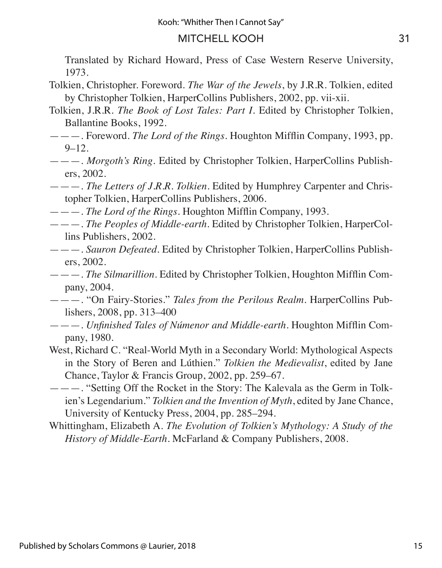Translated by Richard Howard, Press of Case Western Reserve University, 1973.

- Tolkien, Christopher. Foreword. *The War of the Jewels*, by J.R.R. Tolkien, edited by Christopher Tolkien, HarperCollins Publishers, 2002, pp. vii-xii.
- Tolkien, J.R.R. *The Book of Lost Tales: Part I*. Edited by Christopher Tolkien, Ballantine Books, 1992.
- ———. Foreword. *The Lord of the Rings*. Houghton Mifflin Company, 1993, pp.  $9 - 12$ .
- ———. *Morgoth's Ring*. Edited by Christopher Tolkien, HarperCollins Publishers, 2002.
- ———. *The Letters of J.R.R. Tolkien*. Edited by Humphrey Carpenter and Christopher Tolkien, HarperCollins Publishers, 2006.
- ———. *The Lord of the Rings*. Houghton Mifflin Company, 1993.
- ———. *The Peoples of Middle-earth*. Edited by Christopher Tolkien, HarperCollins Publishers, 2002.
- ———. *Sauron Defeated*. Edited by Christopher Tolkien, HarperCollins Publishers, 2002.
- ———. *The Silmarillion*. Edited by Christopher Tolkien, Houghton Mifflin Company, 2004.
- ———. "On Fairy-Stories." *Tales from the Perilous Realm*. HarperCollins Publishers, 2008, pp. 313–400
- ———. *Unfinished Tales of Númenor and Middle-earth*. Houghton Mifflin Company, 1980.
- West, Richard C. "Real-World Myth in a Secondary World: Mythological Aspects in the Story of Beren and Lúthien." *Tolkien the Medievalist*, edited by Jane Chance, Taylor & Francis Group, 2002, pp. 259–67.
- ———. "Setting Off the Rocket in the Story: The Kalevala as the Germ in Tolkien's Legendarium." *Tolkien and the Invention of Myth*, edited by Jane Chance, University of Kentucky Press, 2004, pp. 285–294.
- Whittingham, Elizabeth A. *The Evolution of Tolkien's Mythology: A Study of the History of Middle-Earth*. McFarland & Company Publishers, 2008.